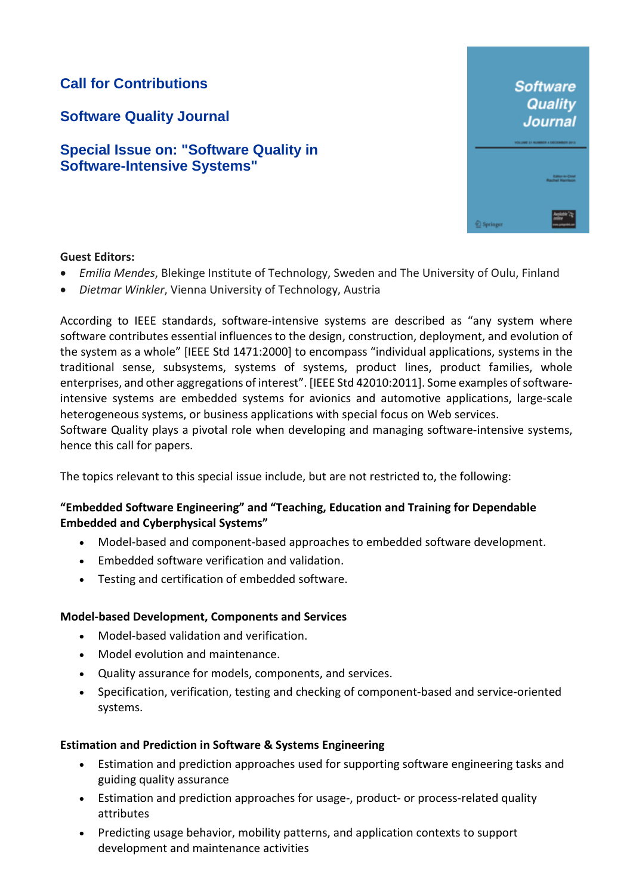# **Call for Contributions**

**Software Quality Journal**

## **Special Issue on: "Software Quality in Software-Intensive Systems"**



#### **Guest Editors:**

hence this call for papers.

- *Emilia Mendes*, Blekinge Institute of Technology, Sweden and The University of Oulu, Finland
- *Dietmar Winkler*, Vienna University of Technology, Austria

According to IEEE standards, software-intensive systems are described as "any system where software contributes essential influences to the design, construction, deployment, and evolution of the system as a whole" [IEEE Std 1471:2000] to encompass "individual applications, systems in the traditional sense, subsystems, systems of systems, product lines, product families, whole enterprises, and other aggregations of interest". [IEEE Std 42010:2011]. Some examples of softwareintensive systems are embedded systems for avionics and automotive applications, large-scale heterogeneous systems, or business applications with special focus on Web services. Software Quality plays a pivotal role when developing and managing software-intensive systems,

The topics relevant to this special issue include, but are not restricted to, the following:

### **"Embedded Software Engineering" and "Teaching, Education and Training for Dependable Embedded and Cyberphysical Systems"**

- Model-based and component-based approaches to embedded software development.
- Embedded software verification and validation.
- Testing and certification of embedded software.

#### **Model-based Development, Components and Services**

- Model-based validation and verification.
- Model evolution and maintenance.
- Quality assurance for models, components, and services.
- Specification, verification, testing and checking of component-based and service-oriented systems.

#### **Estimation and Prediction in Software & Systems Engineering**

- Estimation and prediction approaches used for supporting software engineering tasks and guiding quality assurance
- Estimation and prediction approaches for usage-, product- or process-related quality attributes
- Predicting usage behavior, mobility patterns, and application contexts to support development and maintenance activities